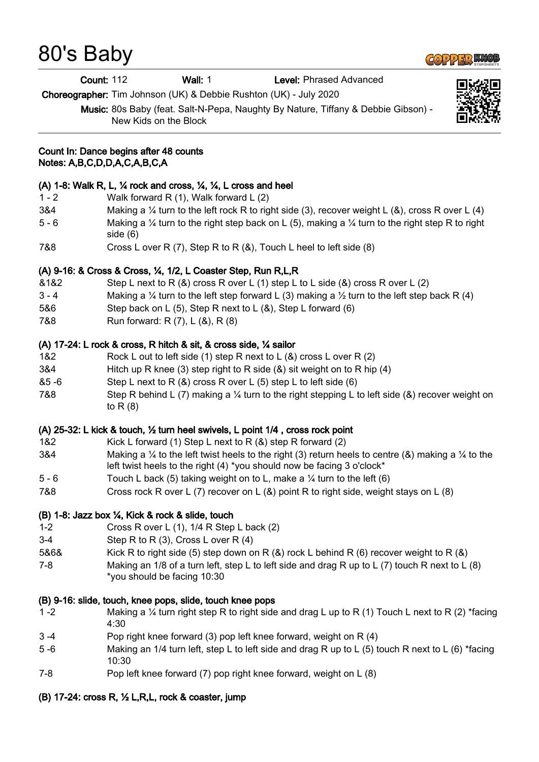# 80's Baby

Count: 112 Wall: 1 Level: Phrased Advanced

Choreographer: Tim Johnson (UK) & Debbie Rushton (UK) - July 2020

Music: 80s Baby (feat. Salt-N-Pepa, Naughty By Nature, Tiffany & Debbie Gibson) - New Kids on the Block



#### Count In: Dance begins after 48 counts Notes: A,B,C,D,D,A,C,A,B,C,A

### (A) 1-8: Walk R, L, ¼ rock and cross, ¼, ¼, L cross and heel

- 1 2 Walk forward R (1), Walk forward L (2)
- 3&4 Making a  $\frac{1}{4}$  turn to the left rock R to right side (3), recover weight L (&), cross R over L (4)
- 5 6 Making a ¼ turn to the right step back on L (5), making a ¼ turn to the right step R to right side (6)
- 7&8 Cross L over R (7), Step R to R (&), Touch L heel to left side (8)

# (A) 9-16: & Cross & Cross, ¼, 1/2, L Coaster Step, Run R,L,R

- $&1&82$  Step L next to R  $&8$ ) cross R over L  $(1)$  step L to L side  $&8$ ) cross R over L  $(2)$
- 3 4 Making a  $\frac{1}{4}$  turn to the left step forward L (3) making a  $\frac{1}{2}$  turn to the left step back R (4)
- 5&6 Step back on L (5), Step R next to L (&), Step L forward (6)
- 7&8 Run forward: R (7), L (&), R (8)

# (A) 17-24: L rock & cross, R hitch & sit, & cross side, ¼ sailor

- 1&2 Rock L out to left side (1) step R next to L (&) cross L over R (2)
- 3&4 Hitch up R knee (3) step right to R side (&) sit weight on to R hip (4)
- &5 -6 Step L next to R (&) cross R over L (5) step L to left side (6)
- 7&8 Step R behind L (7) making a  $\frac{1}{4}$  turn to the right stepping L to left side (&) recover weight on to R (8)

### (A) 25-32: L kick & touch, ½ turn heel swivels, L point 1/4 , cross rock point

- 1&2 Kick L forward (1) Step L next to R (&) step R forward (2)
- 3&4 Making a  $\frac{1}{4}$  to the left twist heels to the right (3) return heels to centre (&) making a  $\frac{1}{4}$  to the left twist heels to the right (4) \*you should now be facing 3 o'clock\*
- 5 6 Touch L back (5) taking weight on to L, make a ¼ turn to the left (6)
- 7&8 Cross rock R over L (7) recover on L (&) point R to right side, weight stays on L (8)

### (B) 1-8: Jazz box ¼, Kick & rock & slide, touch

- 1-2 Cross R over L (1), 1/4 R Step L back (2)
- 3-4 Step R to R (3), Cross L over R (4)
- 5&6& Kick R to right side (5) step down on R (&) rock L behind R (6) recover weight to R (&)
- 7-8 Making an 1/8 of a turn left, step L to left side and drag R up to L (7) touch R next to L (8) \*you should be facing 10:30

### (B) 9-16: slide, touch, knee pops, slide, touch knee pops

- 1 -2 Making a ¼ turn right step R to right side and drag L up to R (1) Touch L next to R (2) \*facing 4:30
- 3 -4 Pop right knee forward (3) pop left knee forward, weight on R (4)
- 5 -6 Making an 1/4 turn left, step L to left side and drag R up to L (5) touch R next to L (6) \*facing 10:30
- 7-8 Pop left knee forward (7) pop right knee forward, weight on L (8)

### (B) 17-24: cross R, ½ L,R,L, rock & coaster, jump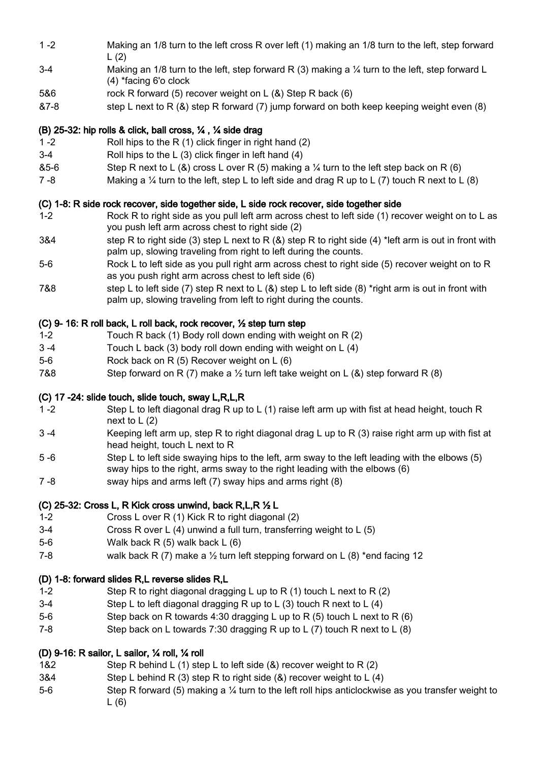- 1 -2 Making an 1/8 turn to the left cross R over left (1) making an 1/8 turn to the left, step forward  $L(2)$
- 3-4 Making an 1/8 turn to the left, step forward R (3) making a ¼ turn to the left, step forward L (4) \*facing 6'o clock
- 5&6 rock R forward (5) recover weight on L (&) Step R back (6)
- &7-8 step L next to R (&) step R forward (7) jump forward on both keep keeping weight even (8)

# (B) 25-32: hip rolls & click, ball cross, ¼ , ¼ side drag

- 1 -2 Roll hips to the R (1) click finger in right hand (2)
- 3-4 Roll hips to the L (3) click finger in left hand (4)
- &5-6 Step R next to L (&) cross L over R (5) making a  $\frac{1}{4}$  turn to the left step back on R (6)
- 7 -8 Making a ¼ turn to the left, step L to left side and drag R up to L (7) touch R next to L (8)

# (C) 1-8: R side rock recover, side together side, L side rock recover, side together side

- 1-2 Rock R to right side as you pull left arm across chest to left side (1) recover weight on to L as you push left arm across chest to right side (2)
- 3&4 step R to right side (3) step L next to R (&) step R to right side (4) \*left arm is out in front with palm up, slowing traveling from right to left during the counts.
- 5-6 Rock L to left side as you pull right arm across chest to right side (5) recover weight on to R as you push right arm across chest to left side (6)
- 7&8 step L to left side (7) step R next to L  $(8)$  step L to left side  $(8)$  \*right arm is out in front with palm up, slowing traveling from left to right during the counts.

# (C) 9- 16: R roll back, L roll back, rock recover, ½ step turn step

- 1-2 Touch R back (1) Body roll down ending with weight on R (2)
- 3 -4 Touch L back (3) body roll down ending with weight on L (4)
- 5-6 Rock back on R (5) Recover weight on L (6)
- 7&8 Step forward on R (7) make a  $\frac{1}{2}$  turn left take weight on L (&) step forward R (8)

### (C) 17 -24: slide touch, slide touch, sway L,R,L,R

- 1 -2 Step L to left diagonal drag R up to L (1) raise left arm up with fist at head height, touch R next to L (2)
- 3 -4 Keeping left arm up, step R to right diagonal drag L up to R (3) raise right arm up with fist at head height, touch L next to R
- 5 -6 Step L to left side swaying hips to the left, arm sway to the left leading with the elbows (5) sway hips to the right, arms sway to the right leading with the elbows (6)
- 7 -8 sway hips and arms left (7) sway hips and arms right (8)

### (C) 25-32: Cross L, R Kick cross unwind, back R,L,R ½ L

- 1-2 Cross L over R (1) Kick R to right diagonal (2)
- 3-4 Cross R over L (4) unwind a full turn, transferring weight to L (5)
- 5-6 Walk back R (5) walk back L (6)
- 7-8 walk back R (7) make a  $\frac{1}{2}$  turn left stepping forward on L (8) \*end facing 12

### (D) 1-8: forward slides R,L reverse slides R,L

- 1-2 Step R to right diagonal dragging L up to R (1) touch L next to R (2)
- 3-4 Step L to left diagonal dragging R up to L (3) touch R next to L (4)
- 5-6 Step back on R towards 4:30 dragging L up to R (5) touch L next to R (6)
- 7-8 Step back on L towards 7:30 dragging R up to L (7) touch R next to L (8)

# (D) 9-16: R sailor, L sailor, ¼ roll, ¼ roll

- 1&2 Step R behind L (1) step L to left side ( $\&$ ) recover weight to R (2)
- 3&4 Step L behind R (3) step R to right side (&) recover weight to L (4)
- 5-6 Step R forward (5) making a ¼ turn to the left roll hips anticlockwise as you transfer weight to  $L(6)$